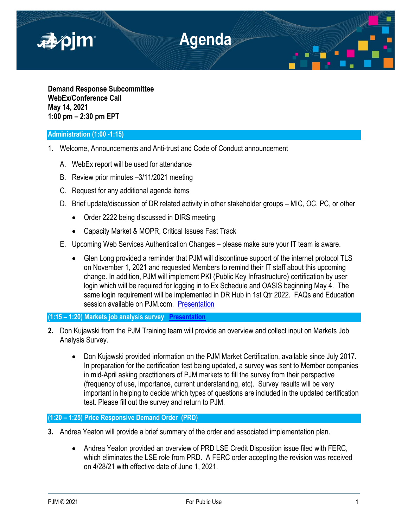

**Demand Response Subcommittee WebEx/Conference Call May 14, 2021 1:00 pm – 2:30 pm EPT**

## **Administration (1:00 -1:15)**

- 1. Welcome, Announcements and Anti-trust and Code of Conduct announcement
	- A. WebEx report will be used for attendance
	- B. Review prior minutes –3/11/2021 meeting
	- C. Request for any additional agenda items
	- D. Brief update/discussion of DR related activity in other stakeholder groups MIC, OC, PC, or other
		- Order 2222 being discussed in DIRS meeting
		- Capacity Market & MOPR, Critical Issues Fast Track
	- E. Upcoming Web Services Authentication Changes please make sure your IT team is aware.
		- Glen Long provided a reminder that PJM will discontinue support of the internet protocol TLS on November 1, 2021 and requested Members to remind their IT staff about this upcoming change. In addition, PJM will implement PKI (Public Key Infrastructure) certification by user login which will be required for logging in to Ex Schedule and OASIS beginning May 4. The same login requirement will be implemented in DR Hub in 1st Qtr 2022. FAQs and Education session available on PJM.com. [Presentation](https://pjm.com/-/media/committees-groups/subcommittees/drs/2021/20210514/20210514-item-01e-it-authentication-changes.ashx)

# **(1:15 – 1:20) Markets job analysis survey [Presentation](https://pjm.com/-/media/committees-groups/subcommittees/drs/2021/20210514/20210514-item-02-pjm-markets-certification-job-analysis-survey.ashx)**

- **2.** Don Kujawski from the PJM Training team will provide an overview and collect input on Markets Job Analysis Survey.
	- Don Kujawski provided information on the PJM Market Certification, available since July 2017. In preparation for the certification test being updated, a survey was sent to Member companies in mid-April asking practitioners of PJM markets to fill the survey from their perspective (frequency of use, importance, current understanding, etc). Survey results will be very important in helping to decide which types of questions are included in the updated certification test. Please fill out the survey and return to PJM.

# **(1:20 – 1:25) Price Responsive Demand Order (PRD)**

- **3.** Andrea Yeaton will provide a brief summary of the order and associated implementation plan.
	- Andrea Yeaton provided an overview of PRD LSE Credit Disposition issue filed with FERC, which eliminates the LSE role from PRD. A FERC order accepting the revision was received on 4/28/21 with effective date of June 1, 2021.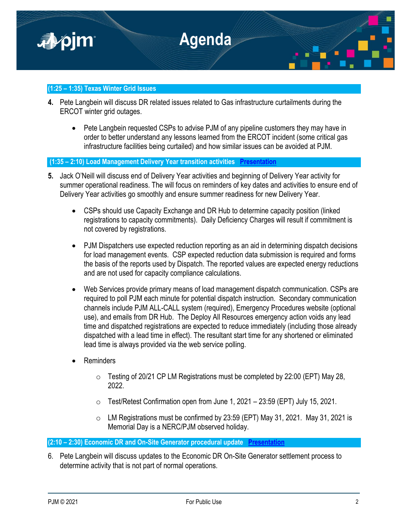

## **(1:25 – 1:35) Texas Winter Grid Issues**

- **4.** Pete Langbein will discuss DR related issues related to Gas infrastructure curtailments during the ERCOT winter grid outages.
	- Pete Langbein requested CSPs to advise PJM of any pipeline customers they may have in order to better understand any lessons learned from the ERCOT incident (some critical gas infrastructure facilities being curtailed) and how similar issues can be avoided at PJM.

## **(1:35 – 2:10) Load Management Delivery Year transition activities [Presentation](https://pjm.com/-/media/committees-groups/subcommittees/drs/2021/20210514/20210514-item-04-load-management-delivery-year-transition-and-summer-readiness.ashx)**

- **5.** Jack O'Neill will discuss end of Delivery Year activities and beginning of Delivery Year activity for summer operational readiness. The will focus on reminders of key dates and activities to ensure end of Delivery Year activities go smoothly and ensure summer readiness for new Delivery Year.
	- CSPs should use Capacity Exchange and DR Hub to determine capacity position (linked registrations to capacity commitments). Daily Deficiency Charges will result if commitment is not covered by registrations.
	- PJM Dispatchers use expected reduction reporting as an aid in determining dispatch decisions for load management events. CSP expected reduction data submission is required and forms the basis of the reports used by Dispatch. The reported values are expected energy reductions and are not used for capacity compliance calculations.
	- Web Services provide primary means of load management dispatch communication. CSPs are required to poll PJM each minute for potential dispatch instruction. Secondary communication channels include PJM ALL-CALL system (required), Emergency Procedures website (optional use), and emails from DR Hub. The Deploy All Resources emergency action voids any lead time and dispatched registrations are expected to reduce immediately (including those already dispatched with a lead time in effect). The resultant start time for any shortened or eliminated lead time is always provided via the web service polling.
	- Reminders
		- $\circ$  Testing of 20/21 CP LM Registrations must be completed by 22:00 (EPT) May 28, 2022.
		- o Test/Retest Confirmation open from June 1, 2021 23:59 (EPT) July 15, 2021.
		- o LM Registrations must be confirmed by 23:59 (EPT) May 31, 2021. May 31, 2021 is Memorial Day is a NERC/PJM observed holiday.

**(2:10 – 2:30) Economic DR and On-Site Generator procedural update [Presentation](https://pjm.com/-/media/committees-groups/subcommittees/drs/2021/20210514/20210514-item-05-on-site-generation-economic-dr-settlements.ashx)**

6. Pete Langbein will discuss updates to the Economic DR On-Site Generator settlement process to determine activity that is not part of normal operations.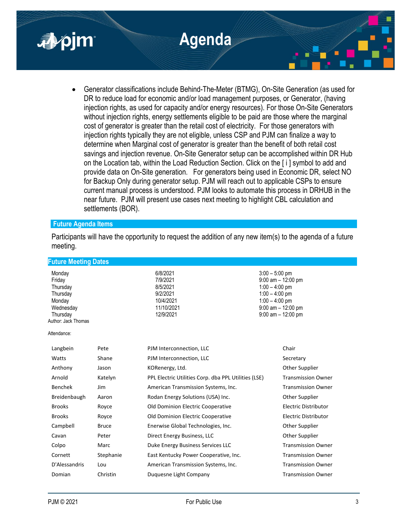

 Generator classifications include Behind-The-Meter (BTMG), On-Site Generation (as used for DR to reduce load for economic and/or load management purposes, or Generator, (having injection rights, as used for capacity and/or energy resources). For those On-Site Generators without injection rights, energy settlements eligible to be paid are those where the marginal cost of generator is greater than the retail cost of electricity. For those generators with injection rights typically they are not eligible, unless CSP and PJM can finalize a way to determine when Marginal cost of generator is greater than the benefit of both retail cost savings and injection revenue. On-Site Generator setup can be accomplished within DR Hub on the Location tab, within the Load Reduction Section. Click on the [ i ] symbol to add and provide data on On-Site generation. For generators being used in Economic DR, select NO for Backup Only during generator setup. PJM will reach out to applicable CSPs to ensure current manual process is understood. PJM looks to automate this process in DRHUB in the near future. PJM will present use cases next meeting to highlight CBL calculation and settlements (BOR).

## **Future Agenda Items**

Participants will have the opportunity to request the addition of any new item(s) to the agenda of a future meeting.

| <b>Future Meeting Dates</b> |            |                       |  |  |
|-----------------------------|------------|-----------------------|--|--|
| Monday                      | 6/8/2021   | $3:00 - 5:00$ pm      |  |  |
| Friday                      | 7/9/2021   | $9:00$ am $-12:00$ pm |  |  |
| Thursday                    | 8/5/2021   | $1:00 - 4:00$ pm      |  |  |
| Thursday                    | 9/2/2021   | $1:00 - 4:00$ pm      |  |  |
| Monday                      | 10/4/2021  | $1:00 - 4:00$ pm      |  |  |
| Wednesday                   | 11/10/2021 | $9:00$ am $-12:00$ pm |  |  |
| Thursday                    | 12/9/2021  | $9:00$ am $-12:00$ pm |  |  |
| Author: Jack Thomas         |            |                       |  |  |

Attendance:

| Langbein       | Pete         | PJM Interconnection, LLC                             | Chair                     |
|----------------|--------------|------------------------------------------------------|---------------------------|
| Watts          | Shane        | PJM Interconnection, LLC                             | Secretary                 |
| Anthony        | Jason        | KORenergy, Ltd.                                      | Other Supplier            |
| Arnold         | Katelyn      | PPL Electric Utilities Corp. dba PPL Utilities (LSE) | <b>Transmission Owner</b> |
| <b>Benchek</b> | Jim          | American Transmission Systems, Inc.                  | <b>Transmission Owner</b> |
| Breidenbaugh   | Aaron        | Rodan Energy Solutions (USA) Inc.                    | Other Supplier            |
| <b>Brooks</b>  | Royce        | Old Dominion Electric Cooperative                    | Electric Distributor      |
| <b>Brooks</b>  | Royce        | Old Dominion Electric Cooperative                    | Electric Distributor      |
| Campbell       | <b>Bruce</b> | Enerwise Global Technologies, Inc.                   | Other Supplier            |
| Cavan          | Peter        | Direct Energy Business, LLC                          | Other Supplier            |
| Colpo          | Marc         | Duke Energy Business Services LLC                    | <b>Transmission Owner</b> |
| Cornett        | Stephanie    | East Kentucky Power Cooperative, Inc.                | <b>Transmission Owner</b> |
| D'Alessandris  | Lou          | American Transmission Systems, Inc.                  | <b>Transmission Owner</b> |
| Domian         | Christin     | Duguesne Light Company                               | <b>Transmission Owner</b> |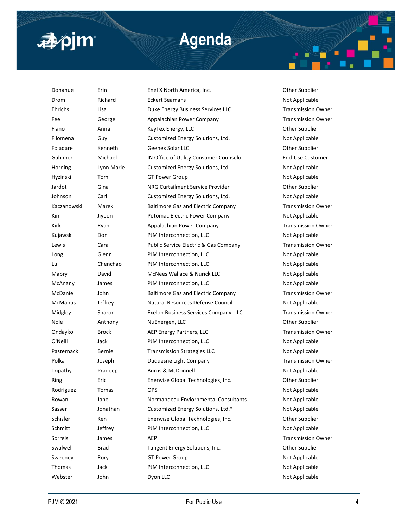

# **Agenda**

Donahue Erin Enel X North America, Inc. Other Supplier Drom Richard Eckert Seamans Not Applicable Ehrichs Lisa Duke Energy Business Services LLC Transmission Owner Fee George George Appalachian Power Company Company Transmission Owner Fiano Anna KeyTex Energy, LLC Charles Anna KeyTex Energy, LLC Filomena Guy Guy Customized Energy Solutions, Ltd. Not Applicable Foladare Menneth Geenex Solar LLC Communication of the Supplier Gahimer Michael IN Office of Utility Consumer Counselor End-Use Customer Horning Lynn Marie Customized Energy Solutions, Ltd. Not Applicable Hyzinski Tom GT Power Group Communication Not Applicable Jardot Gina Gina NRG Curtailment Service Provider Communication of the Supplier Johnson Carl Customized Energy Solutions, Ltd. Not Applicable Kaczanowski Marek Baltimore Gas and Electric Company Transmission Owner Kim Jiyeon Potomac Electric Power Company Not Applicable Kirk **Ryan Brandachian Power Company Company** Transmission Owner Kujawski Don PJM Interconnection, LLC Not Applicable Lewis Cara Cara Public Service Electric & Gas Company Transmission Owner Long Glenn PJM Interconnection, LLC Not Applicable Lu Chenchao PJM Interconnection, LLC Not Applicable Mabry David McNees Wallace & Nurick LLC Not Applicable McAnany James PJM Interconnection, LLC Not Applicable McDaniel John Baltimore Gas and Electric Company Transmission Owner McManus Jeffrey Natural Resources Defense Council Not Applicable Midgley Sharon Exelon Business Services Company, LLC Transmission Owner Nole **Anthony** NuEnergen, LLC **Numeral Anthony** Nuenergen, LLC Ondayko Brock AEP Energy Partners, LLC Transmission Owner O'Neill Jack PJM Interconnection, LLC Not Applicable Pasternack Bernie Transmission Strategies LLC Not Applicable Polka Joseph Duquesne Light Company **Transmission Owner** Company Tripathy Pradeep Burns & McDonnell Not Applicable Ring Eric Enerwise Global Technologies, Inc. Cher Supplier Rodriguez Tomas OPSI Not Applicable Rowan Jane Normandeau Enviornmental Consultants Not Applicable Sasser **Sasser** Jonathan Customized Energy Solutions, Ltd.\* Not Applicable Schisler Ken Enerwise Global Technologies, Inc. 69 Other Supplier Schmitt Seffrey PJM Interconnection, LLC Not Applicable Sorrels James AEP Contract AGE Transmission Owner Swalwell Brad Tangent Energy Solutions, Inc. The Supplier Supplier Sweeney Rory GT Power Group Communication Not Applicable Thomas Jack **PJM Interconnection, LLC** Not Applicable Webster John Dyon LLC 30 and Applicable Not Applicable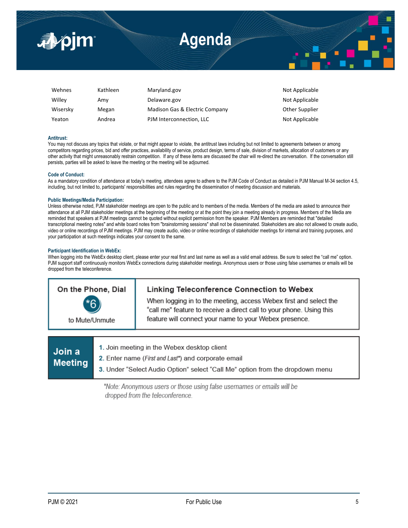

| Wehnes   | Kathleen | Maryland.gov                   | Not Applicable |
|----------|----------|--------------------------------|----------------|
| Willey   | Amv      | Delaware.gov                   | Not Applicable |
| Wisersky | Megan    | Madison Gas & Electric Company | Other Supplier |
| Yeaton   | Andrea   | PJM Interconnection, LLC       | Not Applicable |

### **Antitrust:**

You may not discuss any topics that violate, or that might appear to violate, the antitrust laws including but not limited to agreements between or among competitors regarding prices, bid and offer practices, availability of service, product design, terms of sale, division of markets, allocation of customers or any other activity that might unreasonably restrain competition. If any of these items are discussed the chair will re-direct the conversation. If the conversation still persists, parties will be asked to leave the meeting or the meeting will be adjourned.

### **Code of Conduct:**

As a mandatory condition of attendance at today's meeting, attendees agree to adhere to the PJM Code of Conduct as detailed in PJM Manual M-34 section 4.5, including, but not limited to, participants' responsibilities and rules regarding the dissemination of meeting discussion and materials.

### **Public Meetings/Media Participation:**

Unless otherwise noted, PJM stakeholder meetings are open to the public and to members of the media. Members of the media are asked to announce their attendance at all PJM stakeholder meetings at the beginning of the meeting or at the point they join a meeting already in progress. Members of the Media are reminded that speakers at PJM meetings cannot be quoted without explicit permission from the speaker. PJM Members are reminded that "detailed transcriptional meeting notes" and white board notes from "brainstorming sessions" shall not be disseminated. Stakeholders are also not allowed to create audio, video or online recordings of PJM meetings. PJM may create audio, video or online recordings of stakeholder meetings for internal and training purposes, and your participation at such meetings indicates your consent to the same.

#### **Participant Identification in WebEx:**

When logging into the WebEx desktop client, please enter your real first and last name as well as a valid email address. Be sure to select the "call me" option. PJM support staff continuously monitors WebEx connections during stakeholder meetings. Anonymous users or those using false usernames or emails will be dropped from the teleconference.

| On the Phone, Dial     | Linking Teleconference Connection to Webex                                                                                                                                                          |  |
|------------------------|-----------------------------------------------------------------------------------------------------------------------------------------------------------------------------------------------------|--|
| $*6$<br>to Mute/Unmute | When logging in to the meeting, access Webex first and select the<br>"call me" feature to receive a direct call to your phone. Using this<br>feature will connect your name to your Webex presence. |  |
|                        |                                                                                                                                                                                                     |  |

| Join a<br>Meeting | 1. Join meeting in the Webex desktop client<br><b>2.</b> Enter name ( <i>First and Last</i> *) and corporate email<br>3. Under "Select Audio Option" select "Call Me" option from the dropdown menu |
|-------------------|-----------------------------------------------------------------------------------------------------------------------------------------------------------------------------------------------------|
|                   |                                                                                                                                                                                                     |

\*Note: Anonymous users or those using false usernames or emails will be dropped from the teleconference.